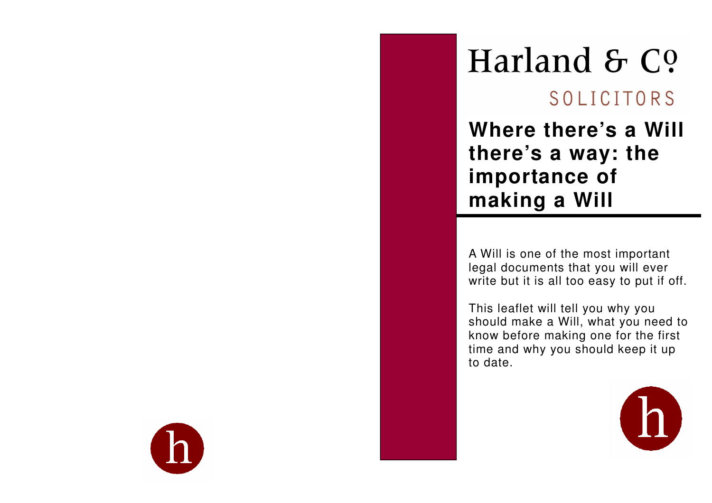## Harland & Co. SOLICITORS

**Where there's a Will there's a way: the importance of making a Will** 

A Will is one of the most important legal documents that you will ever write but it is all too easy to put if off.

This leaflet will tell you why you should make a Will, what you need to know before making one for the first time and why you should keep it up to date.